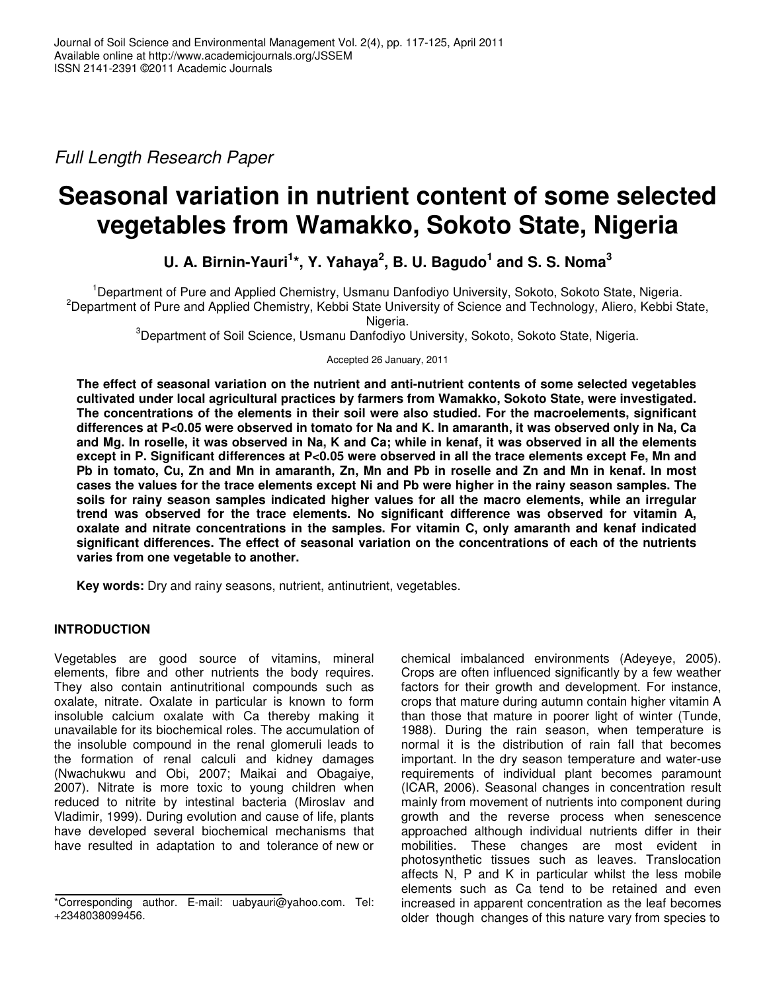*Full Length Research Paper*

# **Seasonal variation in nutrient content of some selected vegetables from Wamakko, Sokoto State, Nigeria**

# **U. A. Birnin-Yauri 1 \*, Y. Yahaya 2 , B. U. Bagudo 1 and S. S. Noma 3**

<sup>1</sup>Department of Pure and Applied Chemistry, Usmanu Danfodiyo University, Sokoto, Sokoto State, Nigeria. <sup>2</sup>Department of Pure and Applied Chemistry, Kebbi State University of Science and Technology, Aliero, Kebbi State,

Nigeria.

<sup>3</sup>Department of Soil Science, Usmanu Danfodiyo University, Sokoto, Sokoto State, Nigeria.

Accepted 26 January, 2011

**The effect of seasonal variation on the nutrient and anti-nutrient contents of some selected vegetables cultivated under local agricultural practices by farmers from Wamakko, Sokoto State, were investigated. The concentrations of the elements in their soil were also studied. For the macroelements, significant** differences at P<0.05 were observed in tomato for Na and K. In amaranth, it was observed only in Na, Ca and Mg. In roselle, it was observed in Na, K and Ca; while in kenaf, it was observed in all the elements except in P. Significant differences at P<0.05 were observed in all the trace elements except Fe. Mn and Pb in tomato, Cu, Zn and Mn in amaranth, Zn, Mn and Pb in roselle and Zn and Mn in kenaf. In most cases the values for the trace elements except Ni and Pb were higher in the rainy season samples. The **soils for rainy season samples indicated higher values for all the macro elements, while an irregular trend was observed for the trace elements. No significant difference was observed for vitamin A, oxalate and nitrate concentrations in the samples. For vitamin C, only amaranth and kenaf indicated significant differences. The effect of seasonal variation on the concentrations of each of the nutrients varies from one vegetable to another.**

**Key words:** Dry and rainy seasons, nutrient, antinutrient, vegetables.

# **INTRODUCTION**

Vegetables are good source of vitamins, mineral elements, fibre and other nutrients the body requires. They also contain antinutritional compounds such as oxalate, nitrate. Oxalate in particular is known to form insoluble calcium oxalate with Ca thereby making it unavailable for its biochemical roles. The accumulation of the insoluble compound in the renal glomeruli leads to the formation of renal calculi and kidney damages (Nwachukwu and Obi, 2007; Maikai and Obagaiye, 2007). Nitrate is more toxic to young children when reduced to nitrite by intestinal bacteria (Miroslav and Vladimir, 1999). During evolution and cause of life, plants have developed several biochemical mechanisms that have resulted in adaptation to and tolerance of new or

chemical imbalanced environments (Adeyeye, 2005). Crops are often influenced significantly by a few weather factors for their growth and development. For instance, crops that mature during autumn contain higher vitamin A than those that mature in poorer light of winter (Tunde, 1988). During the rain season, when temperature is normal it is the distribution of rain fall that becomes important. In the dry season temperature and water-use requirements of individual plant becomes paramount (ICAR, 2006). Seasonal changes in concentration result mainly from movement of nutrients into component during growth and the reverse process when senescence approached although individual nutrients differ in their mobilities. These changes are most evident in photosynthetic tissues such as leaves. Translocation affects N, P and K in particular whilst the less mobile elements such as Ca tend to be retained and even increased in apparent concentration as the leaf becomes older though changes of this nature vary from species to

<sup>\*</sup>Corresponding author. E-mail: uabyauri@yahoo.com. Tel: +2348038099456.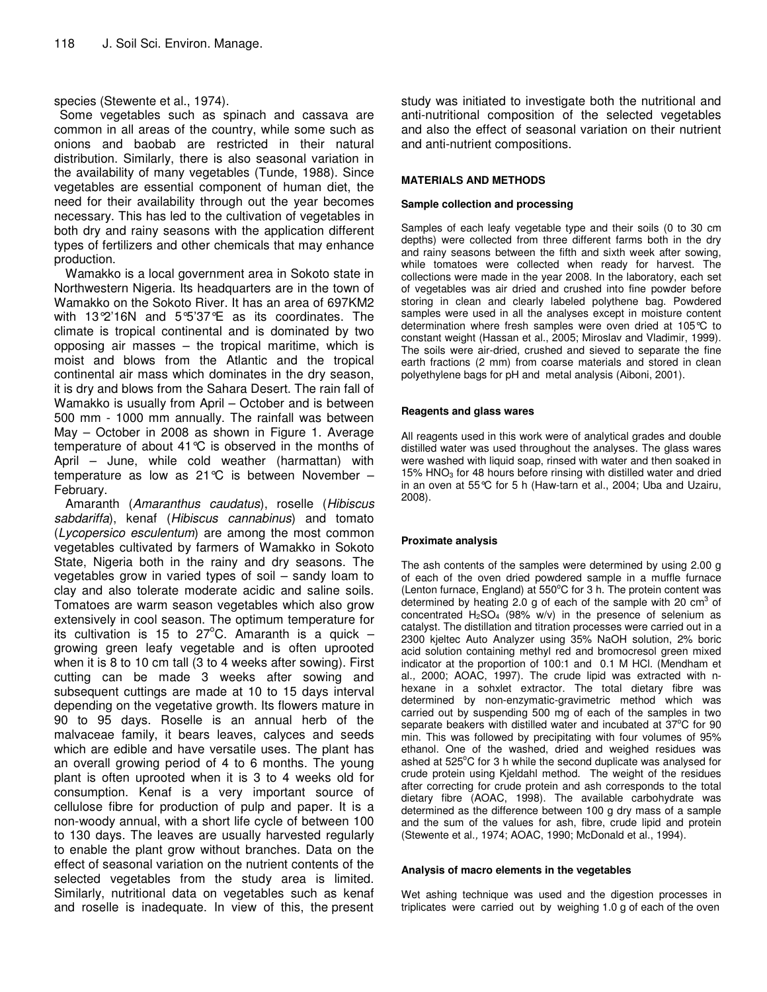# species (Stewente et al., 1974).

Some vegetables such as spinach and cassava are common in all areas of the country, while some such as onions and baobab are restricted in their natural distribution. Similarly, there is also seasonal variation in the availability of many vegetables (Tunde, 1988). Since vegetables are essential component of human diet, the need for their availability through out the year becomes necessary. This has led to the cultivation of vegetables in both dry and rainy seasons with the application different types of fertilizers and other chemicals that may enhance production.

Wamakko is a local government area in Sokoto state in Northwestern Nigeria. Its headquarters are in the town of Wamakko on the Sokoto River. It has an area of 697KM2 with 13°2'16N and 5°5'37°E as its coordinates. The climate is tropical continental and is dominated by two opposing air masses  $-$  the tropical maritime, which is moist and blows from the Atlantic and the tropical continental air mass which dominates in the dry season, it is dry and blows from the Sahara Desert. The rain fall of Wamakko is usually from April – October and is between 500 mm - 1000 mm annually. The rainfall was between May – October in 2008 as shown in Figure 1. Average temperature of about 41°C is observed in the months of April – June, while cold weather (harmattan) with temperature as low as  $21^{\circ}C$  is between November – February.

Amaranth (*Amaranthus caudatus*), roselle (*Hibiscus sabdariffa*), kenaf (*Hibiscus cannabinus*) and tomato (*Lycopersico esculentum*) are among the most common vegetables cultivated by farmers of Wamakko in Sokoto State, Nigeria both in the rainy and dry seasons. The vegetables grow in varied types of soil – sandy loam to clay and also tolerate moderate acidic and saline soils. Tomatoes are warm season vegetables which also grow extensively in cool season. The optimum temperature for its cultivation is 15 to 27 $\degree$ C. Amaranth is a quick  $$ growing green leafy vegetable and is often uprooted when it is 8 to 10 cm tall (3 to 4 weeks after sowing). First cutting can be made 3 weeks after sowing and subsequent cuttings are made at 10 to 15 days interval depending on the vegetative growth. Its flowers mature in 90 to 95 days. Roselle is an annual herb of the malvaceae family, it bears leaves, calyces and seeds which are edible and have versatile uses. The plant has an overall growing period of 4 to 6 months. The young plant is often uprooted when it is 3 to 4 weeks old for consumption. Kenaf is a very important source of cellulose fibre for production of pulp and paper. It is a non-woody annual, with a short life cycle of between 100 to 130 days. The leaves are usually harvested regularly to enable the plant grow without branches. Data on the effect of seasonal variation on the nutrient contents of the selected vegetables from the study area is limited. Similarly, nutritional data on vegetables such as kenaf and roselle is inadequate. In view of this, the present

study was initiated to investigate both the nutritional and anti-nutritional composition of the selected vegetables and also the effect of seasonal variation on their nutrient and anti-nutrient compositions.

# **MATERIALS AND METHODS**

#### **Sample collection and processing**

Samples of each leafy vegetable type and their soils (0 to 30 cm depths) were collected from three different farms both in the dry and rainy seasons between the fifth and sixth week after sowing, while tomatoes were collected when ready for harvest. The collections were made in the year 2008. In the laboratory, each set of vegetables was air dried and crushed into fine powder before storing in clean and clearly labeled polythene bag. Powdered samples were used in all the analyses except in moisture content determination where fresh samples were oven dried at 105°C to constant weight (Hassan et al., 2005; Miroslav and Vladimir, 1999). The soils were air-dried, crushed and sieved to separate the fine earth fractions (2 mm) from coarse materials and stored in clean polyethylene bags for pH and metal analysis (Aiboni, 2001).

#### **Reagents and glass wares**

All reagents used in this work were of analytical grades and double distilled water was used throughout the analyses. The glass wares were washed with liquid soap, rinsed with water and then soaked in 15%  $HNO<sub>3</sub>$  for 48 hours before rinsing with distilled water and dried in an oven at 55°C for 5 h (Haw-tarn et al., 2004; Uba and Uzairu, 2008).

# **Proximate analysis**

The ash contents of the samples were determined by using 2.00 g of each of the oven dried powdered sample in a muffle furnace (Lenton furnace, England) at 550°C for 3 h. The protein content was determined by heating 2.0 g of each of the sample with 20  $\text{cm}^3$  of concentrated  $H<sub>2</sub>SO<sub>4</sub>$  (98% w/v) in the presence of selenium as catalyst. The distillation and titration processes were carried out in a 2300 kjeltec Auto Analyzer using 35% NaOH solution, 2% boric acid solution containing methyl red and bromocresol green mixed indicator at the proportion of 100:1 and 0.1 M HCl. (Mendham et al.*,* 2000; AOAC, 1997). The crude lipid was extracted with nhexane in a sohxlet extractor. The total dietary fibre was determined by non-enzymatic-gravimetric method which was carried out by suspending 500 mg of each of the samples in two separate beakers with distilled water and incubated at  $37^{\circ}$ C for 90 min. This was followed by precipitating with four volumes of 95% ethanol. One of the washed, dried and weighed residues was ashed at 525°C for 3 h while the second duplicate was analysed for crude protein using Kjeldahl method. The weight of the residues after correcting for crude protein and ash corresponds to the total dietary fibre (AOAC, 1998). The available carbohydrate was determined as the difference between 100 g dry mass of a sample and the sum of the values for ash, fibre, crude lipid and protein (Stewente et al.*,* 1974; AOAC, 1990; McDonald et al., 1994).

#### **Analysis of macro elements in the vegetables**

Wet ashing technique was used and the digestion processes in triplicates were carried out by weighing 1.0 g of each of the oven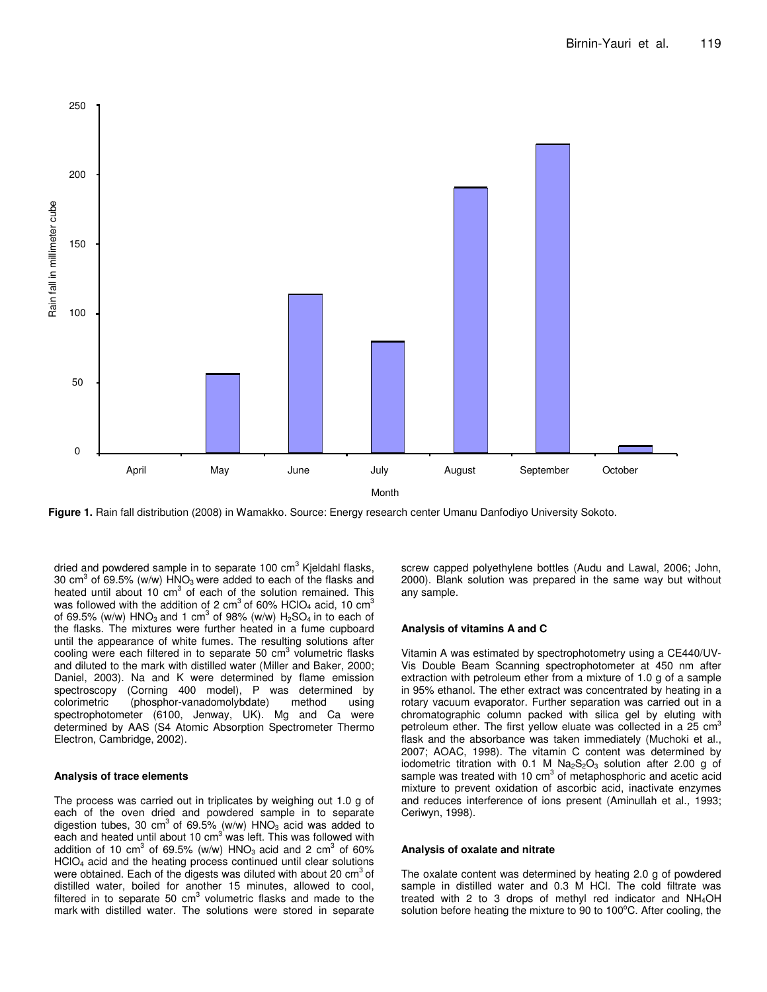

**Figure 1.** Rain fall distribution (2008) in Wamakko. Source: Energy research center Umanu Danfodiyo University Sokoto.

dried and powdered sample in to separate 100 cm<sup>3</sup> Kjeldahl flasks, 30 cm $^3$  of 69.5% (w/w) HNO<sub>3</sub> were added to each of the flasks and heated until about 10 cm<sup>3</sup> of each of the solution remained. This was followed with the addition of 2 cm<sup>3</sup> of 60% HClO<sub>4</sub> acid, 10 cm<sup>3</sup> of 69.5% (w/w)  $\mathsf{HNO}_3$  and 1 cm $^3$  of 98% (w/w)  $\mathsf{H}_2\mathsf{SO}_4$  in to each of the flasks. The mixtures were further heated in a fume cupboard until the appearance of white fumes. The resulting solutions after cooling were each filtered in to separate 50 cm<sup>3</sup> volumetric flasks and diluted to the mark with distilled water (Miller and Baker, 2000; Daniel, 2003). Na and K were determined by flame emission spectroscopy (Corning 400 model), P was determined by colorimetric (phosphor-vanadomolybdate) method using spectrophotometer (6100, Jenway, UK). Mg and Ca were determined by AAS (S4 Atomic Absorption Spectrometer Thermo Electron, Cambridge, 2002).

#### **Analysis of trace elements**

The process was carried out in triplicates by weighing out 1.0 g of each of the oven dried and powdered sample in to separate digestion tubes, 30 cm<sup>3</sup> of 69.5% (w/w)  $HNO<sub>3</sub>$  acid was added to each and heated until about 10 cm<sup>3</sup> was left. This was followed with addition of 10 cm<sup>3</sup> of 69.5% (w/w) HNO<sub>3</sub> acid and 2 cm<sup>3</sup> of 60% HClO<sup>4</sup> acid and the heating process continued until clear solutions were obtained. Each of the digests was diluted with about 20 cm<sup>3</sup> of distilled water, boiled for another 15 minutes, allowed to cool, filtered in to separate 50  $cm<sup>3</sup>$  volumetric flasks and made to the mark with distilled water. The solutions were stored in separate

screw capped polyethylene bottles (Audu and Lawal, 2006; John, 2000). Blank solution was prepared in the same way but without any sample.

#### **Analysis of vitamins A and C**

Vitamin A was estimated by spectrophotometry using a CE440/UV-Vis Double Beam Scanning spectrophotometer at 450 nm after extraction with petroleum ether from a mixture of 1.0 g of a sample in 95% ethanol. The ether extract was concentrated by heating in a rotary vacuum evaporator. Further separation was carried out in a chromatographic column packed with silica gel by eluting with petroleum ether. The first yellow eluate was collected in a 25  $\text{cm}^{3}$ flask and the absorbance was taken immediately (Muchoki et al., 2007; AOAC, 1998). The vitamin C content was determined by iodometric titration with 0.1 M  $Na<sub>2</sub>S<sub>2</sub>O<sub>3</sub>$  solution after 2.00 g of sample was treated with 10 cm<sup>3</sup> of metaphosphoric and acetic acid mixture to prevent oxidation of ascorbic acid, inactivate enzymes and reduces interference of ions present (Aminullah et al.*,* 1993; Ceriwyn, 1998).

#### **Analysis of oxalate and nitrate**

The oxalate content was determined by heating 2.0 g of powdered sample in distilled water and 0.3 M HCl. The cold filtrate was treated with 2 to 3 drops of methyl red indicator and NH4OH solution before heating the mixture to 90 to 100°C. After cooling, the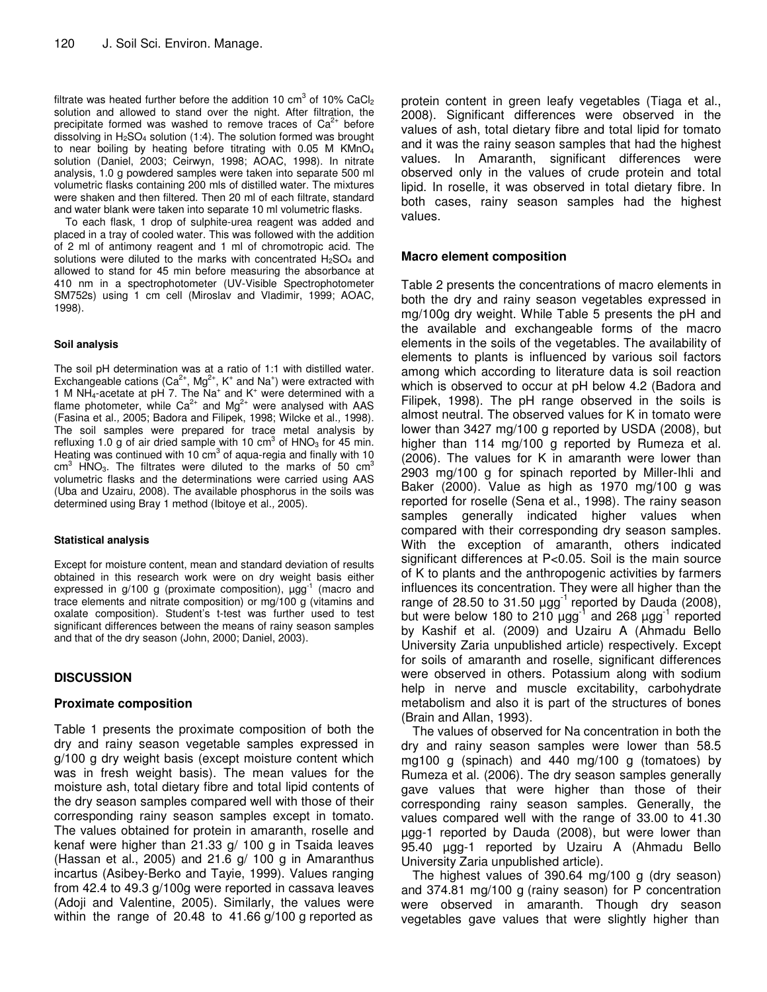filtrate was heated further before the addition 10 cm<sup>3</sup> of 10% CaCl<sub>2</sub> solution and allowed to stand over the night. After filtration, the precipitate formed was washed to remove traces of  $Ca^{2+}$  before dissolving in  $H<sub>2</sub>SO<sub>4</sub>$  solution (1:4). The solution formed was brought to near boiling by heating before titrating with  $0.05$  M KMnO<sub>4</sub> solution (Daniel, 2003; Ceirwyn, 1998; AOAC, 1998). In nitrate analysis, 1.0 g powdered samples were taken into separate 500 ml volumetric flasks containing 200 mls of distilled water. The mixtures were shaken and then filtered. Then 20 ml of each filtrate, standard and water blank were taken into separate 10 ml volumetric flasks.

To each flask, 1 drop of sulphite-urea reagent was added and placed in a tray of cooled water. This was followed with the addition of 2 ml of antimony reagent and 1 ml of chromotropic acid. The solutions were diluted to the marks with concentrated  $H_2SO_4$  and allowed to stand for 45 min before measuring the absorbance at 410 nm in a spectrophotometer (UV-Visible Spectrophotometer SM752s) using 1 cm cell (Miroslav and Vladimir, 1999; AOAC, 1998).

#### **Soil analysis**

The soil pH determination was at a ratio of 1:1 with distilled water. Exchangeable cations (Ca<sup>2+</sup>, Mg<sup>2+</sup>, K<sup>+</sup> and Na<sup>+</sup>) were extracted with 1 M NH<sub>4</sub>-acetate at pH 7. The Na<sup>+</sup> and K<sup>+</sup> were determined with a flame photometer, while Ca<sup>2+</sup> and Mg<sup>2+</sup> were analysed with AAS (Fasina et al.*,* 2005; Badora and Filipek, 1998; Wilcke et al.*,* 1998). The soil samples were prepared for trace metal analysis by refluxing 1.0 g of air dried sample with 10  $\text{cm}^3$  of HNO<sub>3</sub> for 45 min. Heating was continued with 10 cm<sup>3</sup> of aqua-regia and finally with 10 cm<sup>3</sup> HNO<sub>3</sub>. The filtrates were diluted to the marks of 50 cm<sup>3</sup> volumetric flasks and the determinations were carried using AAS (Uba and Uzairu, 2008). The available phosphorus in the soils was determined using Bray 1 method (Ibitoye et al.*,* 2005).

#### **Statistical analysis**

Except for moisture content, mean and standard deviation of results obtained in this research work were on dry weight basis either expressed in  $g/100$  g (proximate composition),  $\mu$ gg<sup>-1</sup> (macro and trace elements and nitrate composition) or mg/100 g (vitamins and oxalate composition). Student's t-test was further used to test significant differences between the means of rainy season samples and that of the dry season (John, 2000; Daniel, 2003).

# **DISCUSSION**

# **Proximate composition**

Table 1 presents the proximate composition of both the dry and rainy season vegetable samples expressed in g/100 g dry weight basis (except moisture content which was in fresh weight basis). The mean values for the moisture ash, total dietary fibre and total lipid contents of the dry season samples compared well with those of their corresponding rainy season samples except in tomato. The values obtained for protein in amaranth, roselle and kenaf were higher than 21.33 g/ 100 g in Tsaida leaves (Hassan et al., 2005) and 21.6 g/ 100 g in Amaranthus incartus (Asibey-Berko and Tayie, 1999). Values ranging from 42.4 to 49.3 g/100g were reported in cassava leaves (Adoji and Valentine, 2005). Similarly, the values were within the range of 20.48 to 41.66 g/100 g reported as

protein content in green leafy vegetables (Tiaga et al., 2008). Significant differences were observed in the values of ash, total dietary fibre and total lipid for tomato and it was the rainy season samples that had the highest values. In Amaranth, significant differences were observed only in the values of crude protein and total lipid. In roselle, it was observed in total dietary fibre. In both cases, rainy season samples had the highest values.

# **Macro element composition**

Table 2 presents the concentrations of macro elements in both the dry and rainy season vegetables expressed in mg/100g dry weight. While Table 5 presents the pH and the available and exchangeable forms of the macro elements in the soils of the vegetables. The availability of elements to plants is influenced by various soil factors among which according to literature data is soil reaction which is observed to occur at pH below 4.2 (Badora and Filipek, 1998). The pH range observed in the soils is almost neutral. The observed values for K in tomato were lower than 3427 mg/100 g reported by USDA (2008), but higher than 114 mg/100 g reported by Rumeza et al. (2006). The values for K in amaranth were lower than 2903 mg/100 g for spinach reported by Miller-Ihli and Baker (2000). Value as high as 1970 mg/100 g was reported for roselle (Sena et al., 1998). The rainy season samples generally indicated higher values when compared with their corresponding dry season samples. With the exception of amaranth, others indicated significant differences at P<0.05. Soil is the main source of K to plants and the anthropogenic activities by farmers influences its concentration. They were all higher than the range of 28.50 to 31.50  $\mu$ gg<sup>-1</sup> reported by Dauda (2008), but were below 180 to 210  $\mu$ gg<sup>-1</sup> and 268  $\mu$ gg<sup>-1</sup> reported by Kashif et al. (2009) and Uzairu A (Ahmadu Bello University Zaria unpublished article) respectively. Except for soils of amaranth and roselle, significant differences were observed in others. Potassium along with sodium help in nerve and muscle excitability, carbohydrate metabolism and also it is part of the structures of bones (Brain and Allan, 1993).

The values of observed for Na concentration in both the dry and rainy season samples were lower than 58.5 mg100 g (spinach) and 440 mg/100 g (tomatoes) by Rumeza et al. (2006). The dry season samples generally gave values that were higher than those of their corresponding rainy season samples. Generally, the values compared well with the range of 33.00 to 41.30 µgg-1 reported by Dauda (2008), but were lower than 95.40 µgg-1 reported by Uzairu A (Ahmadu Bello University Zaria unpublished article).

The highest values of 390.64 mg/100 g (dry season) and 374.81 mg/100 g (rainy season) for P concentration were observed in amaranth. Though dry season vegetables gave values that were slightly higher than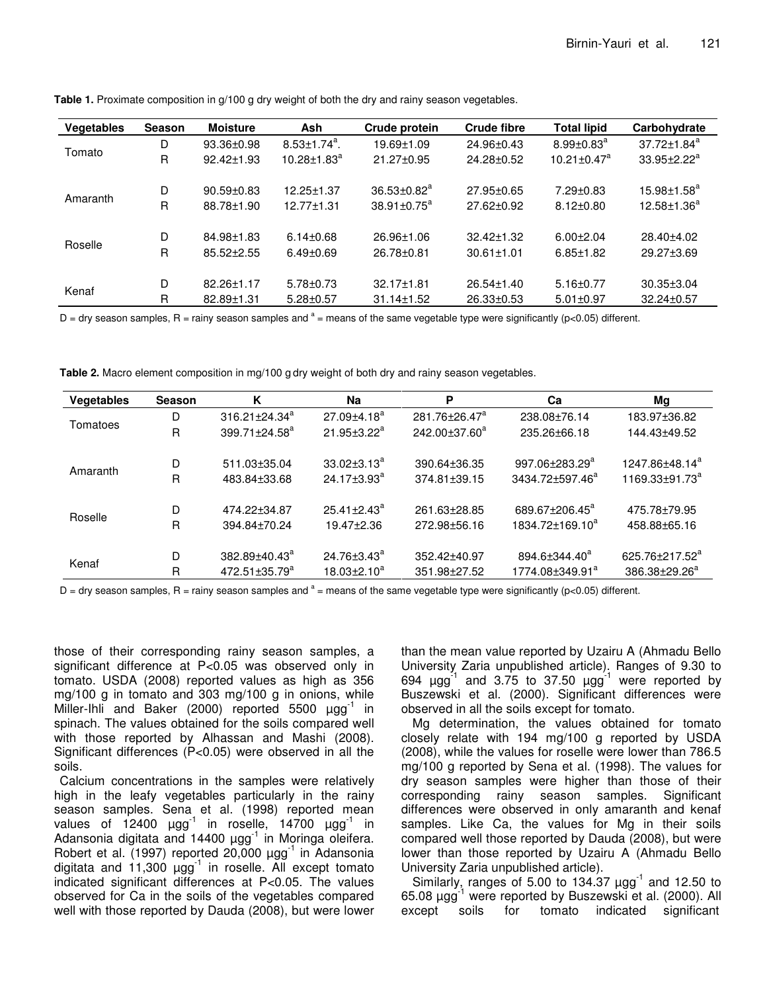| <b>Vegetables</b> | <b>Season</b> | <b>Moisture</b>  | Ash                            | Crude protein                 | <b>Crude fibre</b> | <b>Total lipid</b>            | Carbohydrate       |
|-------------------|---------------|------------------|--------------------------------|-------------------------------|--------------------|-------------------------------|--------------------|
| Tomato            | D             | 93.36±0.98       | $8.53 \pm 1.74$ <sup>a</sup> . | 19.69±1.09                    | 24.96±0.43         | $8.99 \pm 0.83$ <sup>a</sup>  | $37.72 \pm 1.84^a$ |
|                   | R             | 92.42±1.93       | $10.28 \pm 1.83^a$             | $21.27 \pm 0.95$              | 24.28±0.52         | $10.21 \pm 0.47$ <sup>a</sup> | $33.95 \pm 2.22^a$ |
|                   |               |                  |                                |                               |                    |                               |                    |
| Amaranth          | D             | $90.59 + 0.83$   | 12.25±1.37                     | $36.53 \pm 0.82$ <sup>a</sup> | $27.95 \pm 0.65$   | $7.29 \pm 0.83$               | $15.98 \pm 1.58^a$ |
|                   | R             | 88.78±1.90       | $12.77 \pm 1.31$               | $38.91 \pm 0.75^a$            | $27.62 \pm 0.92$   | $8.12 \pm 0.80$               | $12.58 \pm 1.36^a$ |
|                   |               |                  |                                |                               |                    |                               |                    |
| Roselle           | D             | 84.98±1.83       | $6.14 \pm 0.68$                | 26.96±1.06                    | 32.42±1.32         | $6.00 + 2.04$                 | 28.40±4.02         |
|                   | R             | $85.52 \pm 2.55$ | $6.49 \pm 0.69$                | $26.78 \pm 0.81$              | $30.61 \pm 1.01$   | $6.85 \pm 1.82$               | $29.27 \pm 3.69$   |
|                   |               |                  |                                |                               |                    |                               |                    |
| Kenaf             | D             | 82.26±1.17       | $5.78 \pm 0.73$                | $32.17 \pm 1.81$              | $26.54 \pm 1.40$   | $5.16 \pm 0.77$               | $30.35 \pm 3.04$   |
|                   | R             | 82.89±1.31       | $5.28 \pm 0.57$                | $31.14 \pm 1.52$              | $26.33 \pm 0.53$   | $5.01 \pm 0.97$               | 32.24±0.57         |
|                   |               |                  |                                |                               |                    |                               |                    |

**Table 1.** Proximate composition in g/100 g dry weight of both the dry and rainy season vegetables.

D = dry season samples, R = rainy season samples and  $a$  = means of the same vegetable type were significantly (p<0.05) different.

**Table 2.** Macro element composition in mg/100 g dry weight of both dry and rainy season vegetables.

| Vegetables | <b>Season</b> | K                          | Na                            | P                         | Ca                          | Мg                         |
|------------|---------------|----------------------------|-------------------------------|---------------------------|-----------------------------|----------------------------|
|            | D             | $316.21 \pm 24.34^{\circ}$ | $27.09 + 4.18^a$              | 281.76±26.47 <sup>a</sup> | 238.08±76.14                | 183.97±36.82               |
| Tomatoes   | R             | $399.71 \pm 24.58^a$       | $21.95 \pm 3.22^a$            | $242.00 \pm 37.60^a$      | 235.26±66.18                | 144.43±49.52               |
|            | D             | 511.03±35.04               | $33.02 \pm 3.13^a$            | 390.64±36.35              | 997.06±283.29 <sup>a</sup>  | 1247.86±48.14 <sup>ª</sup> |
| Amaranth   | R             | 483.84±33.68               | $24.17 \pm 3.93$ <sup>a</sup> | 374.81±39.15              | 3434.72±597.46 <sup>a</sup> | 1169.33±91.73 <sup>a</sup> |
|            | D             | 474.22±34.87               | $25.41 \pm 2.43^a$            | 261.63±28.85              | 689.67±206.45 <sup>a</sup>  | 475.78±79.95               |
| Roselle    | R             | 394.84±70.24               | 19.47+2.36                    | 272.98±56.16              | 1834.72±169.10 <sup>a</sup> | 458.88±65.16               |
|            | D             | 382.89±40.43 <sup>a</sup>  | $24.76 \pm 3.43$ <sup>a</sup> | 352.42±40.97              | 894.6±344.40 <sup>a</sup>   | 625.76±217.52 <sup>a</sup> |
| Kenaf      | R             | $472.51 \pm 35.79^a$       | $18.03 \pm 2.10^a$            | 351.98±27.52              | 1774.08±349.91 <sup>a</sup> | 386.38±29.26 <sup>a</sup>  |

D = dry season samples, R = rainy season samples and  $a$  = means of the same vegetable type were significantly (p<0.05) different.

those of their corresponding rainy season samples, a significant difference at P<0.05 was observed only in tomato. USDA (2008) reported values as high as 356 mg/100 g in tomato and 303 mg/100 g in onions, while Miller-Ihli and Baker (2000) reported 5500 µgg<sup>-1</sup> in spinach. The values obtained for the soils compared well with those reported by Alhassan and Mashi (2008). Significant differences (P<0.05) were observed in all the soils.

Calcium concentrations in the samples were relatively high in the leafy vegetables particularly in the rainy season samples. Sena et al. (1998) reported mean values of 12400  $\mu$ gg<sup>-1</sup> in roselle, 14700  $\mu$ gg<sup>-1</sup> in Adansonia digitata and 14400  $\mu$ gg<sup>-1</sup> in Moringa oleifera. Robert et al. (1997) reported 20,000 µgg<sup>-1</sup> in Adansonia digitata and 11,300  $\mu$ gg<sup>-1</sup> in roselle. All except tomato indicated significant differences at P<0.05. The values observed for Ca in the soils of the vegetables compared well with those reported by Dauda (2008), but were lower than the mean value reported by Uzairu A (Ahmadu Bello University Zaria unpublished article). Ranges of 9.30 to 694  $\mu$ gg<sup>-1</sup> and 3.75 to 37.50  $\mu$ gg<sup>-1</sup> were reported by Buszewski et al. (2000). Significant differences were observed in all the soils except for tomato.

Mg determination, the values obtained for tomato closely relate with 194 mg/100 g reported by USDA (2008), while the values for roselle were lower than 786.5 mg/100 g reported by Sena et al. (1998). The values for dry season samples were higher than those of their corresponding rainy season samples. Significant differences were observed in only amaranth and kenaf samples. Like Ca, the values for Mg in their soils compared well those reported by Dauda (2008), but were lower than those reported by Uzairu A (Ahmadu Bello University Zaria unpublished article).

Similarly, ranges of 5.00 to 134.37  $\mu$ gg<sup>-1</sup> and 12.50 to 65.08 µgg<sup>-1</sup> were reported by Buszewski et al. (2000). All except soils for tomato indicated significant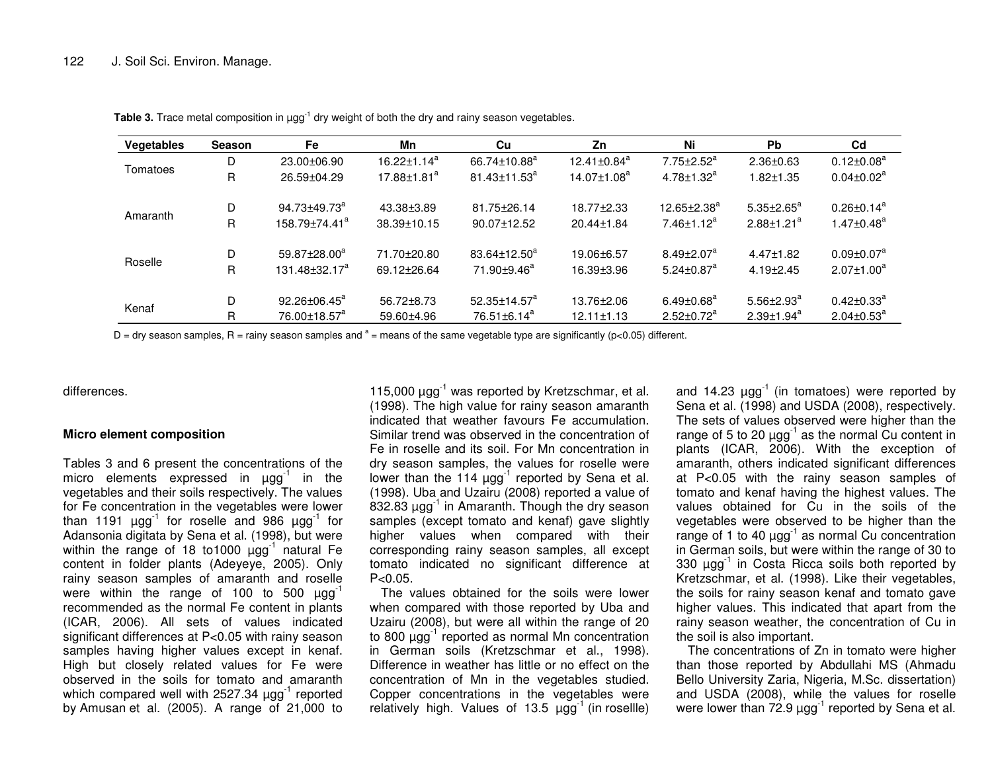| <b>Vegetables</b> | <b>Season</b> | Fe                             | Mn                            | Cu                             | Zn                            | Ni                           | <b>Pb</b>         | C <sub>d</sub>               |
|-------------------|---------------|--------------------------------|-------------------------------|--------------------------------|-------------------------------|------------------------------|-------------------|------------------------------|
| Tomatoes          | D             | $23.00 \pm 06.90$              | $16.22 \pm 1.14^a$            | $66.74 \pm 10.88$ <sup>a</sup> | $12.41 \pm 0.84$ <sup>a</sup> | $7.75 \pm 2.52^a$            | $2.36 \pm 0.63$   | $0.12 \pm 0.08^a$            |
|                   | R             | 26.59±04.29                    | $17.88 \pm 1.81$ <sup>a</sup> | $81.43 \pm 11.53$ <sup>a</sup> | $14.07 \pm 1.08^a$            | $4.78 \pm 1.32^a$            | $1.82 \pm 1.35$   | $0.04 \pm 0.02^a$            |
|                   | D             | $94.73 \pm 49.73$ <sup>a</sup> | 43.38±3.89                    | 81.75±26.14                    | 18.77+2.33                    | $12.65 \pm 2.38^a$           | $5.35 \pm 2.65^a$ | $0.26 \pm 0.14$ <sup>a</sup> |
| Amaranth          | R.            | 158.79±74.41 <sup>a</sup>      | 38.39±10.15                   | 90.07±12.52                    | $20.44 \pm 1.84$              | $7.46 \pm 1.12^a$            | $2.88 \pm 1.21^a$ | $1.47 \pm 0.48$ <sup>a</sup> |
| Roselle           | D             | $59.87 \pm 28.00^a$            | 71.70±20.80                   | $83.64 \pm 12.50^a$            | 19.06±6.57                    | $8.49 \pm 2.07$ <sup>a</sup> | $4.47 \pm 1.82$   | $0.09 \pm 0.07^a$            |
|                   | R.            | $131.48 \pm 32.17^a$           | 69.12±26.64                   | 71.90±9.46 <sup>a</sup>        | 16.39±3.96                    | $5.24 \pm 0.87$ <sup>a</sup> | $4.19 \pm 2.45$   | $2.07 \pm 1.00^a$            |
|                   | D             | 92.26±06.45 <sup>a</sup>       | $56.72 \pm 8.73$              | $52.35 \pm 14.57$ <sup>a</sup> | 13.76±2.06                    | $6.49 \pm 0.68^a$            | $5.56 \pm 2.93^a$ | $0.42 \pm 0.33^a$            |
| Kenaf             | R             | 76.00±18.57 <sup>a</sup>       | 59.60±4.96                    | $76.51 \pm 6.14^a$             | $12.11 \pm 1.13$              | $2.52 \pm 0.72^a$            | $2.39 \pm 1.94^a$ | $2.04 \pm 0.53^a$            |

**Table 3.** Trace metal composition in µgg<sup>-1</sup> dry weight of both the dry and rainy season vegetables.

D = dry season samples, R = rainy season samples and  $a$  = means of the same vegetable type are significantly (p<0.05) different.

differences.

# **Micro element composition**

Tables 3 and 6 present the concentrations of the micro elements expressed in  $\mu gg^{-1}$  in the vegetables and their soils respectively. The values for Fe concentration in the vegetables were lower than 1191  $\mu$ gg<sup>-1</sup> for roselle and 986  $\mu$ gg<sup>-1</sup> for Adansonia digitata by Sena et al. (1998), but were within the range of 18 to1000 µgg<sup>-1</sup> natural Fe content in folder plants (Adeyeye, 2005). Only rainy season samples of amaranth and roselle were within the range of 100 to 500  $\mu$ gg<sup>-1</sup> recommended as the normal Fe content in plants (ICAR, 2006). All sets of values indicated significant differences at P<0.05 with rainy season samples having higher values except in kenaf. High but closely related values for Fe were observed in the soils for tomato and amaranth which compared well with 2527.34  $\mu$ gg<sup>-1</sup> reported by Amusan et al. (2005). A range of 21,000 to

115,000  $\mu$ gg<sup>-1</sup> was reported by Kretzschmar, et al. (1998). The high value for rainy season amaranth indicated that weather favours Fe accumulation. Similar trend was observed in the concentration of Fe in roselle and its soil. For Mn concentration in dry season samples, the values for roselle were lower than the 114  $\mu$ gg<sup>-1</sup> reported by Sena et al. (1998). Uba and Uzairu (2008) reported <sup>a</sup> value of 832.83  $\mu$ gg $^{-1}$  in Amaranth. Though the dry season samples (except tomato and kenaf) gave slightly higher values when compared with their corresponding rainy season samples, all except tomato indicated no significant difference at  $P < 0.05$ .

The values obtained for the soils were lower when compared with those reported by Uba and Uzairu (2008), but were all within the range of 20 to 800 µgg<sup>-1</sup> reported as normal Mn concentration in German soils (Kretzschmar et al., 1998). Difference in weather has little or no effect on the concentration of Mn in the vegetables studied. Copper concentrations in the vegetables were relatively high. Values of  $13.5 \text{ µgg}^{-1}$  (in rosellle)

and 14.23  $\mu$ gg<sup>-1</sup> (in tomatoes) were reported by Sena et al. (1998) and USDA (2008), respectively. The sets of values observed were higher than the range of 5 to 20  $\mu$ gg<sup>-1</sup> as the normal Cu content in plants (ICAR, 2006). With the exception of amaranth, others indicated significant differences at P<0.05 with the rainy season samples of tomato and kenaf having the highest values. The values obtained for Cu in the soils of the vegetables were observed to be higher than the range of 1 to 40  $\mu$ gg<sup>-1</sup> as normal Cu concentration in German soils, but were within the range of 30 to 330  $\mu$ gg<sup>-1</sup> in Costa Ricca soils both reported by Kretzschmar, et al. (1998). Like their vegetables, the soils for rainy season kenaf and tomato gave higher values. This indicated that apart from the rainy season weather, the concentration of Cu in the soil is also important.

The concentrations of Zn in tomato were higher than those reported by Abdullahi MS (Ahmadu Bello University Zaria, Nigeria, M.Sc. dissertation) and USDA (2008), while the values for roselle were lower than 72.9  $\mu$ gg<sup>-1</sup> reported by Sena et al.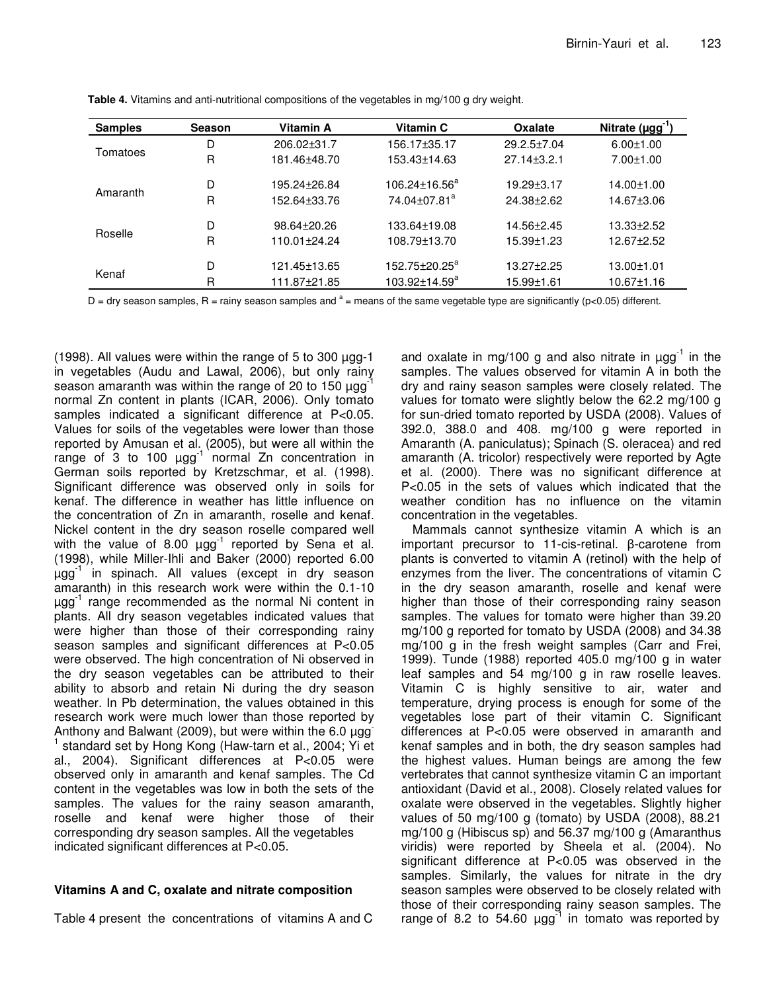| <b>Samples</b> | <b>Season</b> | Vitamin A    | Vitamin C                 | <b>Oxalate</b>    | Nitrate $(\mu gg^{-1})$ |
|----------------|---------------|--------------|---------------------------|-------------------|-------------------------|
|                | D             | 206.02±31.7  | 156.17±35.17              | $29.2.5 \pm 7.04$ | $6.00 \pm 1.00$         |
| Tomatoes       | R             | 181.46±48.70 | 153.43±14.63              | $27.14 \pm 3.2.1$ | $7.00 \pm 1.00$         |
|                | D             | 195.24±26.84 | $106.24 \pm 16.56^a$      | $19.29 \pm 3.17$  | 14.00±1.00              |
| Amaranth       | R             | 152.64±33.76 | 74.04±07.81 <sup>a</sup>  | 24.38±2.62        | 14.67±3.06              |
|                | D             | 98.64±20.26  | 133.64±19.08              | 14.56+2.45        | $13.33 \pm 2.52$        |
| Roselle        | R             | 110.01±24.24 | 108.79±13.70              | 15.39±1.23        | 12.67±2.52              |
|                | D             | 121.45±13.65 | 152.75±20.25 <sup>a</sup> | 13.27±2.25        | $13.00 \pm 1.01$        |
| Kenaf          | R             | 111.87±21.85 | $103.92 \pm 14.59^a$      | 15.99±1.61        | $10.67 \pm 1.16$        |

**Table 4.** Vitamins and anti-nutritional compositions of the vegetables in mg/100 g dry weight.

D = dry season samples, R = rainy season samples and  $a =$  means of the same vegetable type are significantly (p<0.05) different.

(1998). All values were within the range of 5 to 300  $\mu$ gg-1 in vegetables (Audu and Lawal, 2006), but only rainy season amaranth was within the range of 20 to 150  $\mu$ gg<sup>-1</sup> normal Zn content in plants (ICAR, 2006). Only tomato samples indicated a significant difference at P<0.05. Values for soils of the vegetables were lower than those reported by Amusan et al. (2005), but were all within the range of 3 to 100  $\mu$ gg<sup>-1</sup> normal Zn concentration in German soils reported by Kretzschmar, et al. (1998). Significant difference was observed only in soils for kenaf. The difference in weather has little influence on the concentration of Zn in amaranth, roselle and kenaf. Nickel content in the dry season roselle compared well with the value of 8.00  $\mu$ gg<sup>-1</sup> reported by Sena et al. (1998), while Miller-Ihli and Baker (2000) reported 6.00 µgg -1 in spinach. All values (except in dry season amaranth) in this research work were within the 0.1-10 µgg -1 range recommended as the normal Ni content in plants. All dry season vegetables indicated values that were higher than those of their corresponding rainy season samples and significant differences at P<0.05 were observed. The high concentration of Ni observed in the dry season vegetables can be attributed to their ability to absorb and retain Ni during the dry season weather. In Pb determination, the values obtained in this research work were much lower than those reported by Anthony and Balwant (2009), but were within the 6.0  $\mu$ gg 1 standard set by Hong Kong (Haw-tarn et al., 2004; Yi et al., 2004). Significant differences at P<0.05 were observed only in amaranth and kenaf samples. The Cd content in the vegetables was low in both the sets of the samples. The values for the rainy season amaranth, roselle and kenaf were higher those of their corresponding dry season samples. All the vegetables indicated significant differences at P<0.05.

# **Vitamins A and C, oxalate and nitrate composition**

Table 4 present the concentrations of vitamins A and C

and oxalate in mg/100 g and also nitrate in  $\mu$ gg<sup>-1</sup> in the samples. The values observed for vitamin A in both the dry and rainy season samples were closely related. The values for tomato were slightly below the 62.2 mg/100 g for sun-dried tomato reported by USDA (2008). Values of 392.0, 388.0 and 408. mg/100 g were reported in Amaranth (A. paniculatus); Spinach (S. oleracea) and red amaranth (A. tricolor) respectively were reported by Agte et al. (2000). There was no significant difference at P<0.05 in the sets of values which indicated that the weather condition has no influence on the vitamin concentration in the vegetables.

Mammals cannot synthesize vitamin A which is an important precursor to 11-cis-retinal.  $\beta$ -carotene from plants is converted to vitamin A (retinol) with the help of enzymes from the liver. The concentrations of vitamin C in the dry season amaranth, roselle and kenaf were higher than those of their corresponding rainy season samples. The values for tomato were higher than 39.20 mg/100 g reported for tomato by USDA (2008) and 34.38 mg/100 g in the fresh weight samples (Carr and Frei, 1999). Tunde (1988) reported 405.0 mg/100 g in water leaf samples and 54 mg/100 g in raw roselle leaves. Vitamin C is highly sensitive to air, water and temperature, drying process is enough for some of the vegetables lose part of their vitamin C. Significant differences at P<0.05 were observed in amaranth and kenaf samples and in both, the dry season samples had the highest values. Human beings are among the few vertebrates that cannot synthesize vitamin C an important antioxidant (David et al., 2008). Closely related values for oxalate were observed in the vegetables. Slightly higher values of 50 mg/100 g (tomato) by USDA (2008), 88.21 mg/100 g (Hibiscus sp) and 56.37 mg/100 g (Amaranthus viridis) were reported by Sheela et al. (2004). No significant difference at P<0.05 was observed in the samples. Similarly, the values for nitrate in the dry season samples were observed to be closely related with those of their corresponding rainy season samples. The range of 8.2 to 54.60  $\mu$ gg<sup>-1</sup> in tomato was reported by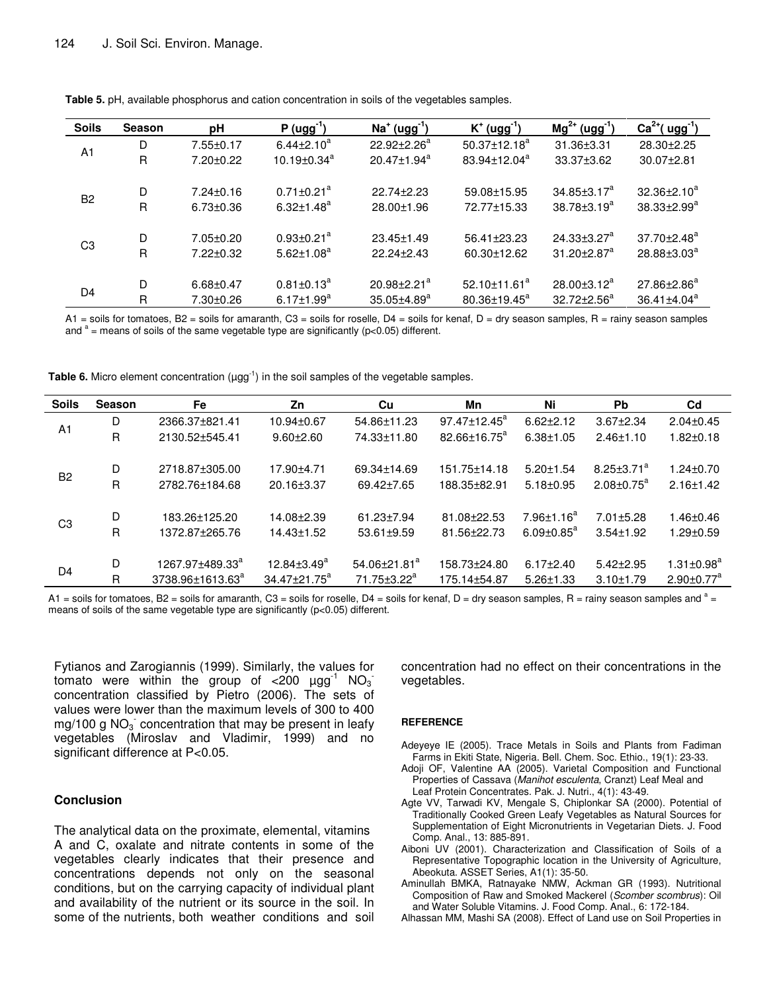| <b>Soils</b>   | <b>Season</b> | рH              | $P (ugg-1)$                   | $Na+ (ugg-1)$                 | $K^+$ (ugg <sup>-1</sup> ) | $Mg^{2+} (ugg^{-1})$          | $Ca2+(ugg-1)$      |
|----------------|---------------|-----------------|-------------------------------|-------------------------------|----------------------------|-------------------------------|--------------------|
| A <sub>1</sub> | D             | $7.55 \pm 0.17$ | $6.44 \pm 2.10^a$             | $22.92 + 2.26^a$              | $50.37 \pm 12.18^a$        | $31.36 \pm 3.31$              | 28.30±2.25         |
|                | R             | 7.20±0.22       | $10.19 \pm 0.34$ <sup>a</sup> | $20.47 \pm 1.94^a$            | 83.94±12.04 <sup>a</sup>   | 33.37±3.62                    | 30.07±2.81         |
|                |               |                 |                               |                               |                            |                               |                    |
| <b>B2</b>      | D             | $7.24 \pm 0.16$ | $0.71 \pm 0.21$ <sup>a</sup>  | $22.74 + 2.23$                | 59.08±15.95                | $34.85 \pm 3.17^a$            | $32.36 \pm 2.10^a$ |
|                | R             | $6.73 \pm 0.36$ | $6.32 \pm 1.48^a$             | 28.00±1.96                    | 72.77±15.33                | $38.78 \pm 3.19^a$            | $38.33 \pm 2.99^a$ |
|                |               |                 |                               |                               |                            |                               |                    |
| C <sub>3</sub> | D             | $7.05 \pm 0.20$ | $0.93 \pm 0.21$ <sup>a</sup>  | 23.45±1.49                    | 56.41±23.23                | $24.33 \pm 3.27^a$            | $37.70 \pm 2.48^a$ |
|                | R             | $7.22 \pm 0.32$ | $5.62 \pm 1.08^a$             | $22.24 + 2.43$                | 60.30±12.62                | $31.20 \pm 2.87$ <sup>a</sup> | $28.88 \pm 3.03^a$ |
|                |               |                 |                               |                               |                            |                               |                    |
|                | D             | $6.68 \pm 0.47$ | $0.81 \pm 0.13^a$             | $20.98 \pm 2.21$ <sup>a</sup> | $52.10 \pm 11.61^a$        | $28.00 \pm 3.12^a$            | $27.86 \pm 2.86^a$ |
| D <sub>4</sub> | $\mathsf{R}$  | $7.30 \pm 0.26$ | $6.17 \pm 1.99$ <sup>a</sup>  | $35.05 \pm 4.89^a$            | 80.36±19.45 <sup>a</sup>   | $32.72 \pm 2.56^a$            | $36.41 \pm 4.04^a$ |

**Table 5.** pH, available phosphorus and cation concentration in soils of the vegetables samples.

 $At =$  soils for tomatoes, B2 = soils for amaranth, C3 = soils for roselle, D4 = soils for kenaf, D = dry season samples, R = rainy season samples and  $a =$  means of soils of the same vegetable type are significantly (p<0.05) different.

Table 6. Micro element concentration (µgg<sup>-1</sup>) in the soil samples of the vegetable samples.

| <b>Soils</b>   | <b>Season</b> | Fe                           | Zn                  | Cu                             | Mn                       | Ni                           | <b>Pb</b>         | C <sub>d</sub>               |
|----------------|---------------|------------------------------|---------------------|--------------------------------|--------------------------|------------------------------|-------------------|------------------------------|
| A <sub>1</sub> | D             | 2366.37±821.41               | 10.94±0.67          | 54.86±11.23                    | $97.47 \pm 12.45^a$      | $6.62 \pm 2.12$              | $3.67 \pm 2.34$   | $2.04 \pm 0.45$              |
|                | R             | 2130.52±545.41               | $9.60 + 2.60$       | 74.33±11.80                    | 82.66±16.75 <sup>a</sup> | $6.38 + 1.05$                | $2.46 \pm 1.10$   | $1.82 \pm 0.18$              |
|                |               |                              |                     |                                |                          |                              |                   |                              |
| <b>B2</b>      | D             | 2718.87±305.00               | 17.90±4.71          | 69.34±14.69                    | 151.75±14.18             | $5.20 \pm 1.54$              | $8.25 \pm 3.71^a$ | $1.24 \pm 0.70$              |
|                | R             | 2782.76±184.68               | 20.16±3.37          | 69.42±7.65                     | 188.35±82.91             | $5.18 \pm 0.95$              | $2.08 \pm 0.75^a$ | $2.16 \pm 1.42$              |
|                |               |                              |                     |                                |                          |                              |                   |                              |
| C <sub>3</sub> | D             | 183.26±125.20                | 14.08±2.39          | 61.23±7.94                     | 81.08+22.53              | $7.96 \pm 1.16^a$            | $7.01 \pm 5.28$   | $1.46 \pm 0.46$              |
|                | R             | 1372.87±265.76               | $14.43 \pm 1.52$    | $53.61 + 9.59$                 | 81.56±22.73              | $6.09 \pm 0.85$ <sup>a</sup> | $3.54 \pm 1.92$   | $1.29 \pm 0.59$              |
|                |               |                              |                     |                                |                          |                              |                   |                              |
| D4             | D             | 1267.97±489.33 <sup>a</sup>  | $12.84 \pm 3.49^a$  | $54.06 \pm 21.81$ <sup>a</sup> | 158.73±24.80             | $6.17 \pm 2.40$              | $5.42 \pm 2.95$   | $1.31 \pm 0.98$ <sup>a</sup> |
|                | R             | 3738.96±1613.63 <sup>ª</sup> | $34.47 \pm 21.75^a$ | 71.75±3.22 <sup>a</sup>        | 175.14±54.87             | $5.26 \pm 1.33$              | $3.10 \pm 1.79$   | $2.90 \pm 0.77$ <sup>a</sup> |

A1 = soils for tomatoes, B2 = soils for amaranth, C3 = soils for roselle, D4 = soils for kenaf, D = dry season samples, R = rainy season samples and  $a =$ means of soils of the same vegetable type are significantly (p<0.05) different.

Fytianos and Zarogiannis (1999). Similarly, the values for tomato were within the group of  $\texttt{<}200\ \ \mathtt{µgg}^{\text{-}1}\ \ \textsf{NO}_3^{-1}$ concentration classified by Pietro (2006). The sets of values were lower than the maximum levels of 300 to 400 mg/100 g  $NO_3^-$  concentration that may be present in leafy vegetables (Miroslav and Vladimir, 1999) and no significant difference at P<0.05.

# **Conclusion**

The analytical data on the proximate, elemental, vitamins A and C, oxalate and nitrate contents in some of the vegetables clearly indicates that their presence and concentrations depends not only on the seasonal conditions, but on the carrying capacity of individual plant and availability of the nutrient or its source in the soil. In some of the nutrients, both weather conditions and soil concentration had no effect on their concentrations in the vegetables.

#### **REFERENCE**

- Adeyeye IE (2005). Trace Metals in Soils and Plants from Fadiman Farms in Ekiti State, Nigeria. Bell. Chem. Soc. Ethio., 19(1): 23-33.
- Adoji OF, Valentine AA (2005). Varietal Composition and Functional Properties of Cassava (*Manihot esculenta*, Cranzt) Leaf Meal and Leaf Protein Concentrates. Pak. J. Nutri., 4(1): 43-49.
- Agte VV, Tarwadi KV, Mengale S, Chiplonkar SA (2000). Potential of Traditionally Cooked Green Leafy Vegetables as Natural Sources for Supplementation of Eight Micronutrients in Vegetarian Diets. J. Food Comp. Anal., 13: 885-891.
- Aiboni UV (2001). Characterization and Classification of Soils of a Representative Topographic location in the University of Agriculture, Abeokuta. ASSET Series, A1(1): 35-50.
- Aminullah BMKA, Ratnayake NMW, Ackman GR (1993). Nutritional Composition of Raw and Smoked Mackerel (*Scomber scombrus*): Oil and Water Soluble Vitamins. J. Food Comp. Anal., 6: 172-184.
- Alhassan MM, Mashi SA (2008). Effect of Land use on Soil Properties in